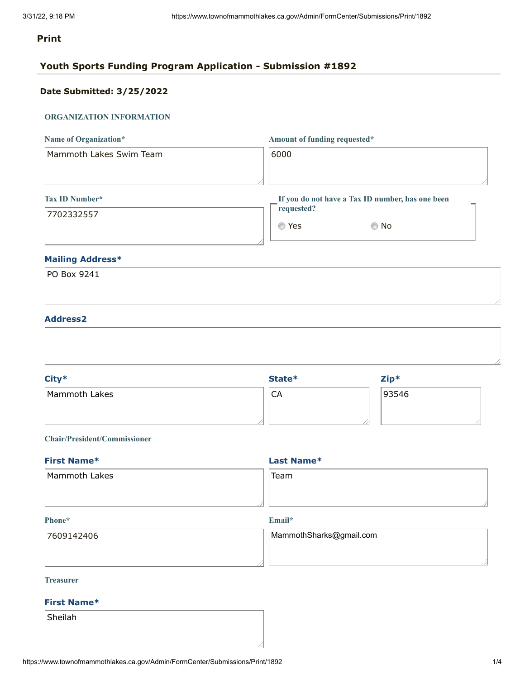#### **Print**

### **Youth Sports Funding Program Application - Submission #1892**

### **Date Submitted: 3/25/2022**

#### **ORGANIZATION INFORMATION**

| Name of Organization*   | Amount of funding requested*                     |
|-------------------------|--------------------------------------------------|
| Mammoth Lakes Swim Team | 6000                                             |
|                         |                                                  |
| Tax ID Number*          | If you do not have a Tax ID number, has one been |
| 7702332557              | requested?                                       |
|                         | Yes<br>No<br>⊙                                   |

#### **Mailing Address\***

| PO Box 9241 |  |  |
|-------------|--|--|
|             |  |  |
|             |  |  |

#### **Address2**

| City*         | State* | $Zip*$ |  |
|---------------|--------|--------|--|
| Mammoth Lakes | CA     | 93546  |  |

#### **Chair/President/Commissioner**

| <b>First Name*</b> | Last Name* |
|--------------------|------------|
| Mammoth Lakes      | Team       |
|                    |            |

#### **Phone\***

**Email\***

| 17609142406 | MammothSharks@gmail.com |
|-------------|-------------------------|
|             |                         |
|             |                         |

#### **Treasurer**

#### **First Name\***

Sheilah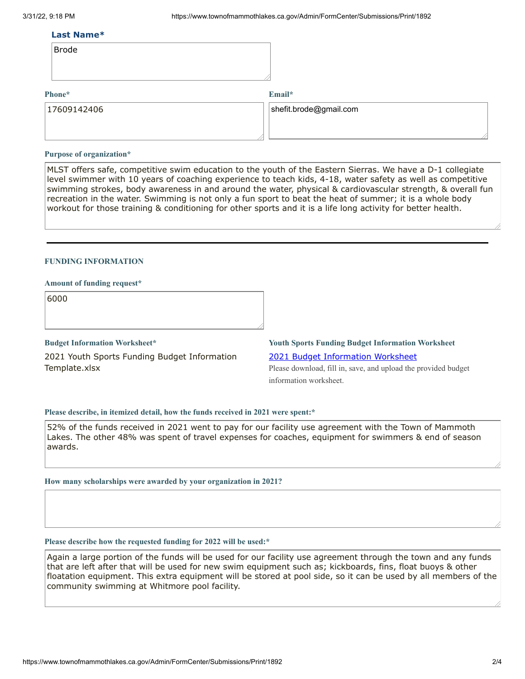#### **Last Name\***

| <b>Brode</b> |  |
|--------------|--|
|--------------|--|

#### **Phone\***

#### **Email\***

| 17609142406 | $ $ shefit.brode@gmail.com |
|-------------|----------------------------|
|             |                            |
|             |                            |

#### **Purpose of organization\***

MLST offers safe, competitive swim education to the youth of the Eastern Sierras. We have a D-1 collegiate level swimmer with 10 years of coaching experience to teach kids, 4-18, water safety as well as competitive swimming strokes, body awareness in and around the water, physical & cardiovascular strength, & overall fun recreation in the water. Swimming is not only a fun sport to beat the heat of summer; it is a whole body workout for those training & conditioning for other sports and it is a life long activity for better health.

#### **FUNDING INFORMATION**

#### **Amount of funding request\***

6000

**Budget Information Worksheet\*** 2021 Youth Sports Funding Budget Information Template.xlsx

### **Youth Sports Funding Budget Information Worksheet** 2021 Budget [Information](https://www.townofmammothlakes.ca.gov/DocumentCenter/View/11932/2021-Youth-Sports-Funding-Budget-Information-Template) Worksheet

Please download, fill in, save, and upload the provided budget information worksheet.

#### **Please describe, in itemized detail, how the funds received in 2021 were spent:\***

52% of the funds received in 2021 went to pay for our facility use agreement with the Town of Mammoth Lakes. The other 48% was spent of travel expenses for coaches, equipment for swimmers & end of season awards.

#### **How many scholarships were awarded by your organization in 2021?**

#### **Please describe how the requested funding for 2022 will be used:\***

Again a large portion of the funds will be used for our facility use agreement through the town and any funds that are left after that will be used for new swim equipment such as; kickboards, fins, float buoys & other floatation equipment. This extra equipment will be stored at pool side, so it can be used by all members of the community swimming at Whitmore pool facility.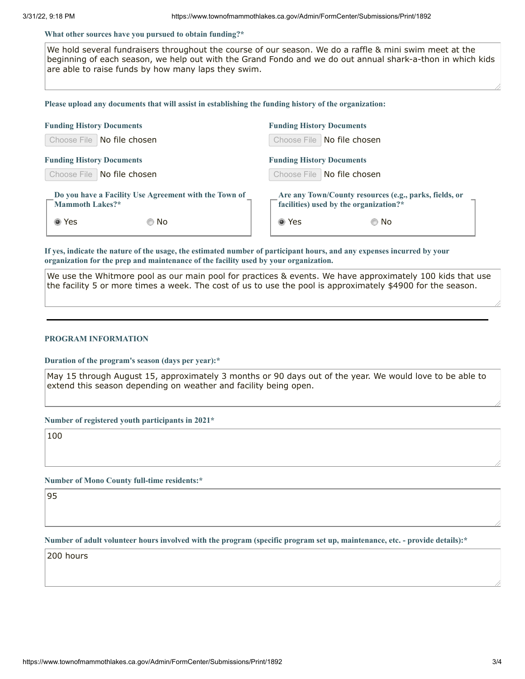#### **What other sources have you pursued to obtain funding?\***

We hold several fundraisers throughout the course of our season. We do a raffle & mini swim meet at the beginning of each season, we help out with the Grand Fondo and we do out annual shark-a-thon in which kids are able to raise funds by how many laps they swim.

#### **Please upload any documents that will assist in establishing the funding history of the organization:**

| <b>Funding History Documents</b>                                                | <b>Funding History Documents</b>                                                                 |  |  |  |  |
|---------------------------------------------------------------------------------|--------------------------------------------------------------------------------------------------|--|--|--|--|
| No file chosen<br>Choose File                                                   | Choose File   No file chosen                                                                     |  |  |  |  |
| <b>Funding History Documents</b>                                                | <b>Funding History Documents</b>                                                                 |  |  |  |  |
| Choose File<br>No file chosen                                                   | Choose File   No file chosen                                                                     |  |  |  |  |
| Do you have a Facility Use Agreement with the Town of<br><b>Mammoth Lakes?*</b> | Are any Town/County resources (e.g., parks, fields, or<br>facilities) used by the organization?* |  |  |  |  |
| ◉ Yes<br>© No                                                                   | ◉ Yes<br>© No                                                                                    |  |  |  |  |

If yes, indicate the nature of the usage, the estimated number of participant hours, and any expenses incurred by your **organization for the prep and maintenance of the facility used by your organization.**

We use the Whitmore pool as our main pool for practices & events. We have approximately 100 kids that use the facility 5 or more times a week. The cost of us to use the pool is approximately \$4900 for the season.

#### **PROGRAM INFORMATION**

**Duration of the program's season (days per year):\***

May 15 through August 15, approximately 3 months or 90 days out of the year. We would love to be able to extend this season depending on weather and facility being open.

**Number of registered youth participants in 2021\***

100

**Number of Mono County full-time residents:\***

95

Number of adult volunteer hours involved with the program (specific program set up, maintenance, etc. - provide details):\*

200 hours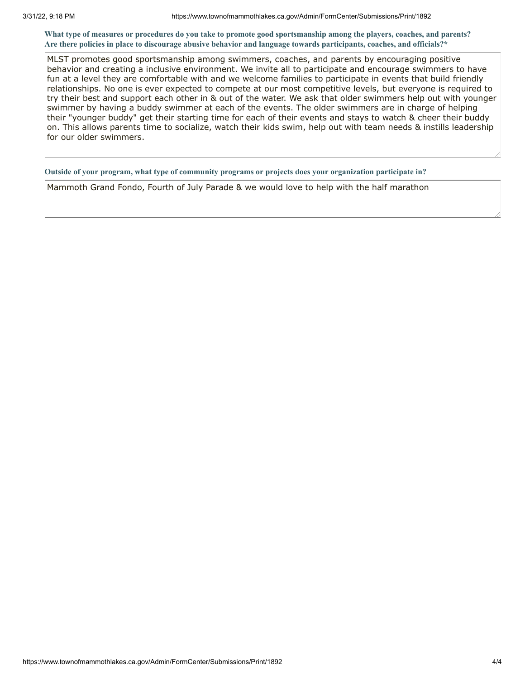What type of measures or procedures do you take to promote good sportsmanship among the players, coaches, and parents? Are there policies in place to discourage abusive behavior and language towards participants, coaches, and officials?\*

MLST promotes good sportsmanship among swimmers, coaches, and parents by encouraging positive behavior and creating a inclusive environment. We invite all to participate and encourage swimmers to have fun at a level they are comfortable with and we welcome families to participate in events that build friendly relationships. No one is ever expected to compete at our most competitive levels, but everyone is required to try their best and support each other in & out of the water. We ask that older swimmers help out with younger swimmer by having a buddy swimmer at each of the events. The older swimmers are in charge of helping their "younger buddy" get their starting time for each of their events and stays to watch & cheer their buddy on. This allows parents time to socialize, watch their kids swim, help out with team needs & instills leadership for our older swimmers.

**Outside of your program, what type of community programs or projects does your organization participate in?**

Mammoth Grand Fondo, Fourth of July Parade & we would love to help with the half marathon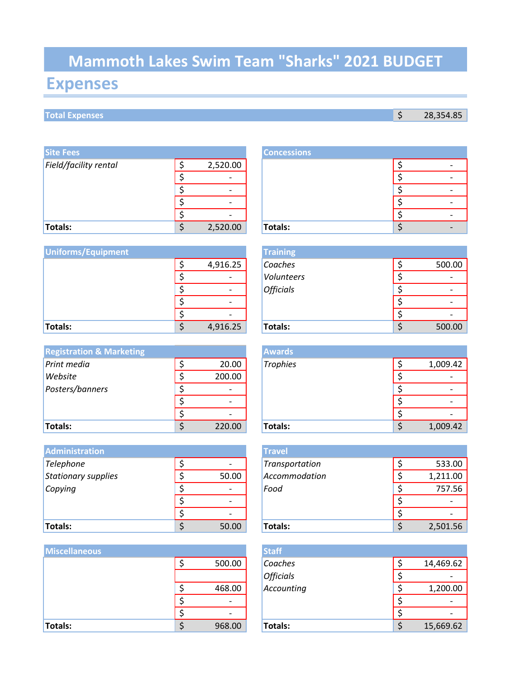# **Mammoth Lakes Swim Team "Sharks" 2021 BUDGET**

## **Expenses**

### **Total Expenses** \$ 28,354.85

| <b>Site Fees</b>      |                          | <b>Concessions</b> |   |
|-----------------------|--------------------------|--------------------|---|
| Field/facility rental | 2,520.00                 |                    | ٠ |
|                       | $\overline{\phantom{a}}$ |                    |   |
|                       | $\overline{\phantom{0}}$ |                    |   |
|                       |                          |                    | ٠ |
|                       | $\overline{\phantom{a}}$ |                    | ٠ |
| Totals:               | 2,520.00                 | Totals:            | ٠ |

| <b>Uniforms/Equipment</b> |                          | <b>Training</b>  |  |        |
|---------------------------|--------------------------|------------------|--|--------|
|                           | 4,916.25                 | Coaches          |  | 500.00 |
|                           | $\overline{\phantom{a}}$ | Volunteers       |  |        |
|                           | $\overline{\phantom{a}}$ | <b>Officials</b> |  |        |
|                           | $\overline{\phantom{a}}$ |                  |  |        |
|                           | -                        |                  |  |        |
| Totals:                   | 4,916.25                 | Totals:          |  | 500.00 |

| <b>Registration &amp; Marketing</b> |                          | <b>Awards</b>   |          |
|-------------------------------------|--------------------------|-----------------|----------|
| Print media                         | 20.00                    | <b>Trophies</b> | 1,009.42 |
| Website                             | 200.00                   |                 |          |
| Posters/banners                     |                          |                 |          |
|                                     | $\overline{\phantom{0}}$ |                 |          |
|                                     | $\overline{\phantom{0}}$ |                 |          |
| <b>Totals:</b>                      | 220.00                   | <b>Totals:</b>  | 1,009.42 |

| <b>Administration</b> |                              | <b>Travel</b>  |          |
|-----------------------|------------------------------|----------------|----------|
| Telephone             | $\overline{\phantom{a}}$     | Transportation | 533.00   |
| Stationary supplies   | 50.00                        | Accommodation  | 1,211.00 |
| Copying               | $\overline{\phantom{a}}$     | Food           | 757.56   |
|                       | $\qquad \qquad \blacksquare$ |                |          |
|                       | $\overline{\phantom{a}}$     |                |          |
| Totals:               | 50.00                        | Totals:        | 2,501.56 |

| <b>Miscellaneous</b> |                          | <b>Staff</b>     |  |                          |
|----------------------|--------------------------|------------------|--|--------------------------|
|                      | 500.00                   | Coaches          |  | 14,469.62                |
|                      |                          | <b>Officials</b> |  |                          |
|                      | 468.00                   | Accounting       |  | 1,200.00                 |
|                      | $\overline{\phantom{a}}$ |                  |  | $\overline{\phantom{0}}$ |
|                      | $\overline{\phantom{a}}$ |                  |  |                          |
| Totals:              | 968.00                   | Totals:          |  | 15,669.62                |

|    |          | <b>Concessions</b> |  |  |
|----|----------|--------------------|--|--|
| \$ | 2,520.00 |                    |  |  |
| ċ  |          |                    |  |  |
| r  |          |                    |  |  |
| ċ  |          |                    |  |  |
|    |          |                    |  |  |
| Ċ  | 2,520.00 | Totals:            |  |  |
|    |          |                    |  |  |

|                | <b>Training</b>  |        |
|----------------|------------------|--------|
| \$<br>4,916.25 | Coaches          | 500.00 |
| \$             | Volunteers       |        |
| \$             | <b>Officials</b> |        |
| \$             |                  |        |
| \$             |                  |        |
| \$<br>4,916.25 | Totals:          | 500.00 |

|              | <b>Awards</b>   |  |          |
|--------------|-----------------|--|----------|
| \$<br>20.00  | <b>Trophies</b> |  | 1,009.42 |
| \$<br>200.00 |                 |  |          |
| \$           |                 |  |          |
| \$           |                 |  |          |
| \$           |                 |  |          |
| \$<br>220.00 | <b>Totals:</b>  |  | 1,009.42 |

|             | Travel         |  |          |
|-------------|----------------|--|----------|
| \$          | Transportation |  | 533.00   |
| \$<br>50.00 | Accommodation  |  | 1,211.00 |
| \$          | Food           |  | 757.56   |
| \$          |                |  |          |
| \$          |                |  |          |
| \$<br>50.00 | Totals:        |  | 2,501.56 |

|              | <b>Staff</b>     |  |           |
|--------------|------------------|--|-----------|
| \$<br>500.00 | Coaches          |  | 14,469.62 |
|              | <b>Officials</b> |  |           |
| \$<br>468.00 | Accounting       |  | 1,200.00  |
| \$           |                  |  |           |
| \$           |                  |  |           |
| \$<br>968.00 | <b>Totals:</b>   |  | 15,669.62 |